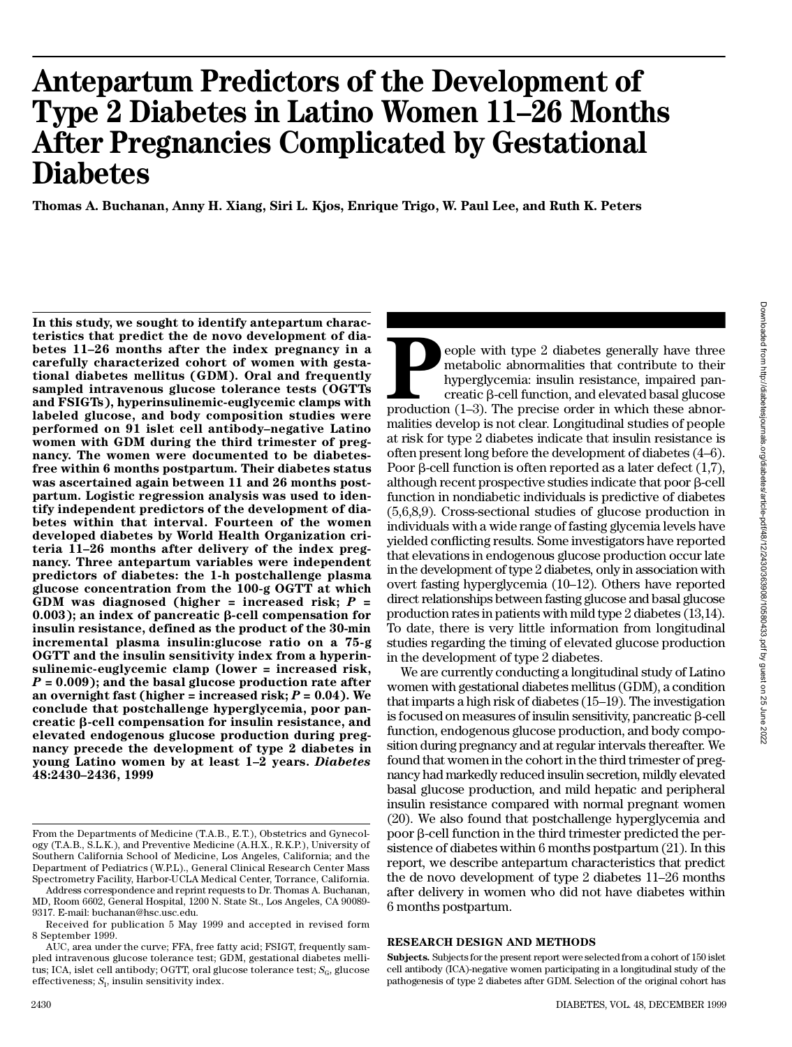# **Antepartum Predictors of the Development of Ty p e 2 Diabetes in Latino Women 11–26 Months After Pregnancies Complicated by Gestational Diabetes**

**Thomas A. Buchanan, Anny H. Xiang, Siri L. Kjos, Enrique Trigo, W. Paul Lee, and Ruth K. Peters**

**In this study, we sought to identify antepartum characteristics that predict the de novo development of diabetes 11–26 months after the index pregnancy in a carefully characterized cohort of women with gestational diabetes mellitus (GDM). Oral and frequently sampled intravenous glucose tolerance tests (OGTTs and FSIGTs), hyperinsulinemic-euglycemic clamps with labeled glucose, and body composition studies were performed on 91 islet cell antibody–negative Latino women with GDM during the third trimester of preg**nancy. The women were documented to be diabetes**free within 6 months postpartum. Their diabetes status was ascertained again between 11 and 26 months postpartum. Logistic regression analysis was used to identify independent predictors of the development of diabetes within that interval. Fourteen of the women developed diabetes by World Health Organization criteria 11–26 months after delivery of the index preg**nancy. Three antepartum variables were independent **predictors of diabetes: the 1-h postchallenge plasma glucose concentration from the 100-g OGTT at which GDM was diagnosed (higher = increased risk;** *P* **= 0.003); an index of pancreatic** b**-cell compensation for** insulin resistance, defined as the product of the 30-min **incremental plasma insulin:glucose ratio on a 75-g OGTT and the insulin sensitivity index from a hyperinsulinemic-euglycemic clamp (lower = increased risk,** *P* **= 0.009); and the basal glucose production rate after** an overnight fast (higher = increased risk;  $P = 0.04$ ). We **conclude that postchallenge hyperglycemia, poor pancreatic** b**-cell compensation for insulin resistance, and elevated endogenous glucose production during pregnancy precede the development of type 2 diabetes in** young Latino women by at least 1-2 years. Diabetes **4 8 :2 4 3 0–2436, 1999**

**P Production (1–3). The precise order in which these abnormalities that contribute to their hyperglycemia: insulin resistance, impaired pancreatic β-cell function, and elevated basal glucose production (1–3). The preci** eople with type 2 diabetes generally have three metabolic abnormalities that contribute to their hyperglycemia: insulin resistance, impaired pancreatic b-cell function, and elevated basal glucose malities develop is not clear. Longitudinal studies of people at risk for type 2 diabetes indicate that insulin resistance is often present long before the development of diabetes (4–6). Poor  $\beta$ -cell function is often reported as a later defect (1,7), although recent prospective studies indicate that poor  $\beta$ -cell function in nondiabetic individuals is predictive of diabetes (5,6,8,9). Cross-sectional studies of glucose production in individuals with a wide range of fasting glycemia levels have yielded conflicting results. Some investigators have reported that elevations in endogenous glucose production occur late in the development of type 2 diabetes, only in association with overt fasting hyperglycemia (10–12). Others have reported direct relationships between fasting glucose and basal glucose production rates in patients with mild type 2 diabetes (13,14). To date, there is very little information from longitudinal studies regarding the timing of elevated glucose production in the development of type 2 diabetes.

We are currently conducting a longitudinal study of Latino women with gestational diabetes mellitus (GDM), a condition that imparts a high risk of diabetes (15–19). The investigation is focused on measures of insulin sensitivity, pancreatic  $\beta$ -cell function, endogenous glucose production, and body composition during pregnancy and at regular intervals thereafter. We found that women in the cohort in the third trimester of pregnancy had markedly reduced insulin secretion, mildly elevated basal glucose production, and mild hepatic and peripheral insulin resistance compared with normal pregnant women (20). We also found that postchallenge hyperglycemia and  $poor \beta$ -cell function in the third trimester predicted the persistence of diabetes within 6 months postpartum (21). In this report, we describe antepartum characteristics that predict the de novo development of type 2 diabetes 11–26 months after delivery in women who did not have diabetes within 6 months postpartum.

## **RESEARCH DESIGN AND METHODS**

From the Departments of Medicine (T.A.B., E.T.), Obstetrics and Gynecology (T.A.B., S.L.K.), and Preventive Medicine (A.H.X., R.K.P.), University of Southern California School of Medicine, Los Angeles, California; and the Department of Pediatrics (W.P.L)., General Clinical Research Center Mass Spectrometry Facility, Harbor-UCLA Medical Center, Torrance, California.

Address correspondence and reprint requests to Dr. Thomas A. Buchanan, MD, Room 6602, General Hospital, 1200 N. State St., Los Angeles, CA 90089- 9317. E-mail: buchanan@hsc.usc.edu.

Received for publication 5 May 1999 and accepted in revised form 8 September 1999.

AUC, area under the curve; FFA, free fatty acid; FSIGT, frequently sampled intravenous glucose tolerance test; GDM, gestational diabetes mellitus; ICA, islet cell antibody; OGTT, oral glucose tolerance test;  $S_{\rm{G}}$ , glucose effectiveness;  $S<sub>I</sub>$ , insulin sensitivity index.

**Subjects.** Subjects for the present report were selected from a cohort of 150 islet cell antibody (ICA)-negative women participating in a longitudinal study of the pathogenesis of type 2 diabetes after GDM. Selection of the original cohort has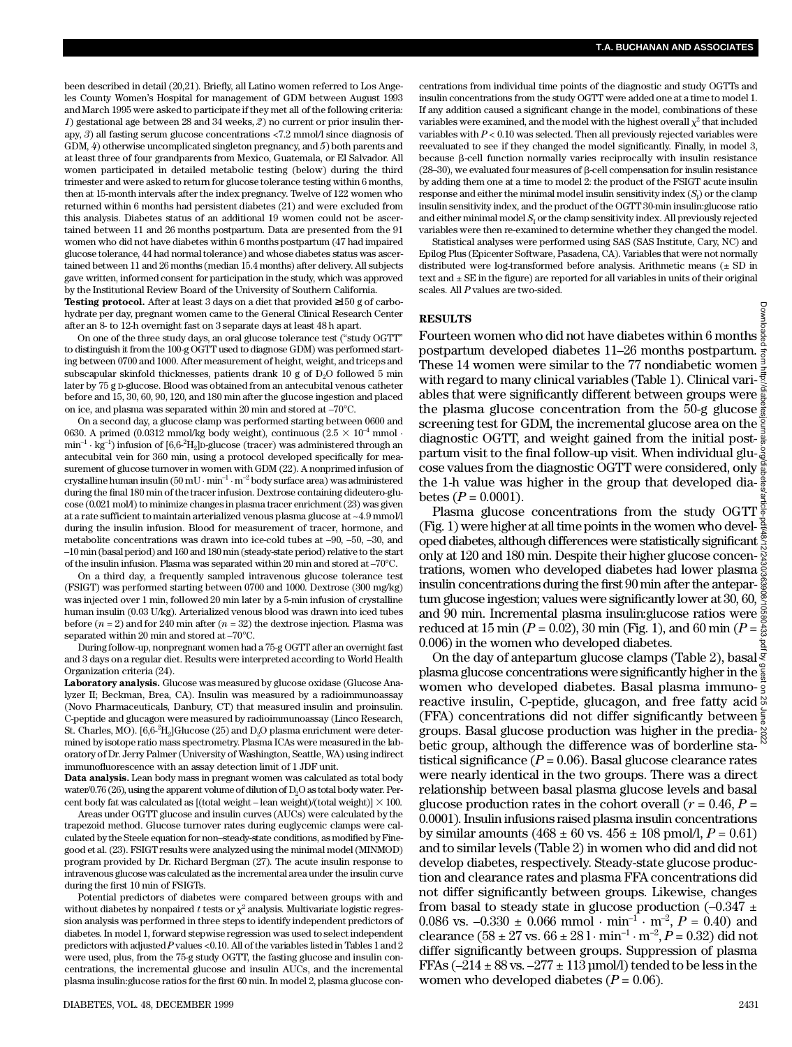been described in detail (20,21). Briefly, all Latino women referred to Los Angeles County Women's Hospital for management of GDM between August 1993 and March 1995 were asked to participate if they met all of the following criteria: *1*) gestational age between 28 and 34 weeks, *2*) no current or prior insulin therapy, 3) all fasting serum glucose concentrations <7.2 mmol/l since diagnosis of GDM, *4*) otherwise uncomplicated singleton pregnancy, and *5*) both parents and at least three of four grandparents from Mexico, Guatemala, or El Salvador. All women participated in detailed metabolic testing (below) during the third trimester and were asked to return for glucose tolerance testing within 6 months, then at 15-month intervals after the index pregnancy. Twelve of 122 women who returned within 6 months had persistent diabetes (21) and were excluded from this analysis. Diabetes status of an additional 19 women could not be ascertained between 11 and 26 months postpartum. Data are presented from the 91 women who did not have diabetes within 6 months postpartum (47 had impaired glucose tolerance, 44 had normal tolerance) and whose diabetes status was ascertained between 11 and 26 months (median 15.4 months) after delivery. All subjects gave written, informed consent for participation in the study, which was approved by the Institutional Review Board of the University of Southern California.

**Testing protocol.** After at least 3 days on a diet that provided 150 g of carbohydrate per day, pregnant women came to the General Clinical Research Center after an 8- to 12-h overnight fast on 3 separate days at least 48 h apart.

On one of the three study days, an oral glucose tolerance test ("study OGTT" to distinguish it from the 100-g OGTT used to diagnose GDM) was performed starting between 0700 and 1000. After measurement of height, weight, and triceps and subscapular skinfold thicknesses, patients drank 10 g of  $D_2O$  followed 5 min later by 75 g D-glucose. Blood was obtained from an antecubital venous catheter before and 15, 30, 60, 90, 120, and 180 min after the glucose ingestion and placed on ice, and plasma was separated within 20 min and stored at –70°C.

On a second day, a glucose clamp was performed starting between 0600 and 0630. A primed (0.0312 mmol/kg body weight), continuous ( $2.5 \times 10^{-4}$  mmol ·  $\min^{-1}\cdot\text{kg}^{-1}$ ) infusion of [6,6- $^2\text{H}_{2}$ ]D-glucose (tracer) was administered through an antecubital vein for 360 min, using a protocol developed specifically for measurement of glucose turnover in women with GDM (22). A nonprimed infusion of crystalline human insulin (50 mU · min<sup>-1</sup> · m<sup>-2</sup> body surface area) was administered during the final 180 min of the tracer infusion. Dextrose containing dideutero-glucose (0.021 mol/l) to minimize changes in plasma tracer enrichment (23) was given at a rate sufficient to maintain arterialized venous plasma glucose at ~4.9 mmol/l during the insulin infusion. Blood for measurement of tracer, hormone, and metabolite concentrations was drawn into ice-cold tubes at –90, –50, –30, and – 1 0 min (basal period) and 160 and 180 min (steady-state period) relative to the start of the insulin infusion. Plasma was separated within 20 min and stored at –70°C.

On a third day, a frequently sampled intravenous glucose tolerance test (FSIGT) was performed starting between 0700 and 1000. Dextrose (300 mg/kg) was injected over 1 min, followed 20 min later by a 5-min infusion of crystalline human insulin (0.03 U/kg). Arterialized venous blood was drawn into iced tubes before (*n* = 2) and for 240 min after (*n* = 32) the dextrose injection. Plasma was separated within 20 min and stored at –70°C.

During follow-up, nonpregnant women had a 75-g OGTT after an overnight fast and 3 days on a regular diet. Results were interpreted according to World Health Organization criteria (24).

**Laboratory analysis.** Glucose was measured by glucose oxidase (Glucose Analyzer II; Beckman, Brea, CA). Insulin was measured by a radioimmunoassay (Novo Pharmaceuticals, Danbury, CT) that measured insulin and proinsulin. C-peptide and glucagon were measured by radioimmunoassay (Linco Research, St. Charles, MO). [6,6- $^{2}H_{2}$ ]Glucose (25) and  $D_{2}O$  plasma enrichment were determined by isotope ratio mass spectrometry. Plasma ICAs were measured in the laboratory of Dr. Jerry Palmer (University of Washington, Seattle, WA) using indirect immunofluorescence with an assay detection limit of 1 JDF unit.

**Data analysis.** Lean body mass in pregnant women was calculated as total body water/0.76 (26), using the apparent volume of dilution of D<sub>2</sub>O as total body water. Percent body fat was calculated as  $[(total weight - lean weight)/(total weight)] \times 100$ .

Areas under OGTT glucose and insulin curves (AUCs) were calculated by the trapezoid method. Glucose turnover rates during euglycemic clamps were calculated by the Steele equation for non–steady-state conditions, as modified by Finegood et al. (23). FSIGT results were analyzed using the minimal model (MINMOD) program provided by Dr. Richard Bergman (27). The acute insulin response to intravenous glucose was calculated as the incremental area under the insulin curve during the first 10 min of FSIGTs.

Potential predictors of diabetes were compared between groups with and without diabetes by nonpaired  $t$  tests or  $\chi^2$  analysis. Multivariate logistic regression analysis was performed in three steps to identify independent predictors of diabetes. In model 1, forward stepwise regression was used to select independent predictors with adjusted *P* values <0.10. All of the variables listed in Tables 1 and 2 were used, plus, from the 75-g study OGTT, the fasting glucose and insulin concentrations, the incremental glucose and insulin AUCs, and the incremental plasma insulin:glucose ratios for the first 60 min. In model 2, plasma glucose con-

centrations from individual time points of the diagnostic and study OGTTs and insulin concentrations from the study OGTT were added one at a time to model 1 . If any addition caused a significant change in the model, combinations of these variables were examined, and the model with the highest overall  $\chi^2$  that included variables with  $P < 0.10$  was selected. Then all previously rejected variables were reevaluated to see if they changed the model significantly. Finally, in model 3, because  $\beta$ -cell function normally varies reciprocally with insulin resistance (28–30), we evaluated four measures of  $\beta$ -cell compensation for insulin resistance by adding them one at a time to model 2: the product of the FSIGT acute insulin response and either the minimal model insulin sensitivity index  $(S_{\rm I})$  or the clamp insulin sensitivity index, and the product of the OGTT 30-min insulin:glucose ratio and either minimal model  $S<sub>I</sub>$  or the clamp sensitivity index. All previously rejected variables were then re-examined to determine whether they changed the model.

Statistical analyses were performed using SAS (SAS Institute, Cary, NC) and Epilog Plus (Epicenter Software, Pasadena, CA). Variables that were not normally distributed were log-transformed before analysis. Arithmetic means  $(\pm$  SD in text and  $\pm$  SE in the figure) are reported for all variables in units of their original scales. All *P* values are two-sided.

#### **R E S U LT S**

Fourteen women who did not have diabetes within 6 months postpartum developed diabetes 11–26 months postpartum. These 14 women were similar to the 77 nondiabetic women  $\frac{3}{7}$ with regard to many clinical variables (Table 1). Clinical variables that were significantly different between groups were  $\frac{8}{9}$ the plasma glucose concentration from the 50-g glucose screening test for GDM, the incremental glucose area on the  $\frac{3}{5}$ diagnostic OGTT, and weight gained from the initial postpartum visit to the final follow-up visit. When individual glucose values from the diagnostic OGTT were considered, only the 1-h value was higher in the group that developed dia $betes (P = 0.0001).$ 

Plasma glucose concentrations from the study OGTT (Fig. 1) were higher at all time points in the women who devel- $\frac{3}{5}$ oped diabetes, although differences were statistically significant  $\frac{8}{3}$ only at 120 and 180 min. Despite their higher glucose concen- $\frac{5}{8}$ trations, women who developed diabetes had lower plasma insulin concentrations during the first 90 min after the antepartum glucose ingestion; values were significantly lower at 30, 60, and 90 min. Incremental plasma insulin: glucose ratios were  $\frac{8}{8}$ reduced at 15 min ( $P = 0.02$ ), 30 min (Fig. 1), and 60 min ( $P = \frac{5}{62}$ 0.006) in the women who developed diabetes. Downloaded from http://diabetesjournals.org/diabetes/article-pdf/48/12/2430/363908/10580433.pdf by guest on 25 June 2022

On the day of antepartum glucose clamps (Table 2), basal  $\frac{3}{5}$ plasma glucose concentrations were significantly higher in the  $\frac{2}{3}$ women who developed diabetes. Basal plasma immunoreactive insulin, C-peptide, glucagon, and free fatty acid (FFA) concentrations did not differ significantly between  $\frac{2}{3}$ groups. Basal glucose production was higher in the prediabetic group, although the difference was of borderline statistical significance  $(P = 0.06)$ . Basal glucose clearance rates were nearly identical in the two groups. There was a direct relationship between basal plasma glucose levels and basal glucose production rates in the cohort overall  $(r = 0.46, P =$ 0.0001). Insulin infusions raised plasma insulin concentrations by similar amounts  $(468 \pm 60 \text{ vs. } 456 \pm 108 \text{ pmol/l}, P = 0.61)$ and to similar levels (Table 2) in women who did and did not develop diabetes, respectively. Steady-state glucose production and clearance rates and plasma FFA concentrations did not differ significantly between groups. Likewise, changes from basal to steady state in glucose production  $(-0.347 \pm 0.347)$ 0.086 vs.  $-0.330 \pm 0.066$  mmol  $\cdot$  min<sup>-1</sup>  $\cdot$  m<sup>-2</sup>,  $P = 0.40$ ) and clearance  $(58 \pm 27 \text{ vs. } 66 \pm 281 \cdot \text{min}^{-1} \cdot \text{m}^{-2}, P = 0.32)$  did not differ significantly between groups. Suppression of plasma FFAs  $(-214 \pm 88 \text{ vs. } -277 \pm 113 \text{ µmol/l})$  tended to be less in the women who developed diabetes (*P* = 0.06).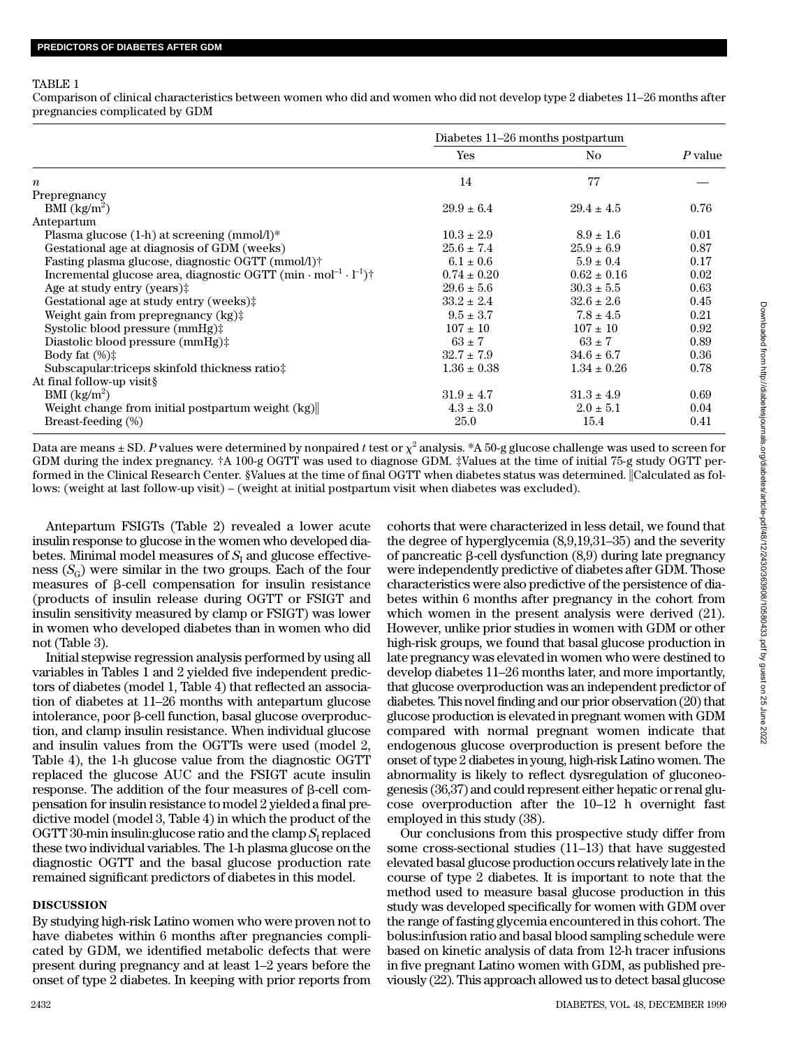### TABLE 1

Comparison of clinical characteristics between women who did and women who did not develop type 2 diabetes 11–26 months after pregnancies complicated by GDM

|                                                                                      | Diabetes 11–26 months postpartum |                 |         |
|--------------------------------------------------------------------------------------|----------------------------------|-----------------|---------|
|                                                                                      | Yes                              | No.             | P value |
| $\boldsymbol{n}$                                                                     | 14                               | 77              |         |
| Prepregnancy                                                                         |                                  |                 |         |
| BMI (kg/m <sup>2</sup> )                                                             | $29.9 \pm 6.4$                   | $29.4 \pm 4.5$  | 0.76    |
| Antepartum                                                                           |                                  |                 |         |
| Plasma glucose $(1-h)$ at screening $(mmol/l)^*$                                     | $10.3 \pm 2.9$                   | $8.9 \pm 1.6$   | 0.01    |
| Gestational age at diagnosis of GDM (weeks)                                          | $25.6 \pm 7.4$                   | $25.9 \pm 6.9$  | 0.87    |
| Fasting plasma glucose, diagnostic OGTT (mmol/l)†                                    | $6.1 \pm 0.6$                    | $5.9 \pm 0.4$   | 0.17    |
| Incremental glucose area, diagnostic OGTT $(min \cdot mol^{-1} \cdot l^{-1})\dagger$ | $0.74 \pm 0.20$                  | $0.62 \pm 0.16$ | 0.02    |
| Age at study entry (years) $\ddagger$                                                | $29.6 \pm 5.6$                   | $30.3 \pm 5.5$  | 0.63    |
| Gestational age at study entry (weeks)‡                                              | $33.2 \pm 2.4$                   | $32.6 \pm 2.6$  | 0.45    |
| Weight gain from prepregnancy (kg)‡                                                  | $9.5 \pm 3.7$                    | $7.8 \pm 4.5$   | 0.21    |
| Systolic blood pressure $(mmHg)$ :                                                   | $107 \pm 10$                     | $107 \pm 10$    | 0.92    |
| Diastolic blood pressure (mmHg):                                                     | $63 \pm 7$                       | $63 \pm 7$      | 0.89    |
| Body fat $(\%)$ :                                                                    | $32.7 \pm 7.9$                   | $34.6 \pm 6.7$  | 0.36    |
| Subscapular: triceps skinfold thickness ratio:                                       | $1.36 \pm 0.38$                  | $1.34 \pm 0.26$ | 0.78    |
| At final follow-up visit§                                                            |                                  |                 |         |
| BMI $(kg/m^2)$                                                                       | $31.9 \pm 4.7$                   | $31.3 \pm 4.9$  | 0.69    |
| Weight change from initial postpartum weight (kg)                                    | $4.3 \pm 3.0$                    | $2.0 \pm 5.1$   | 0.04    |
| Breast-feeding (%)                                                                   | 25.0                             | 15.4            | 0.41    |

Data are means ± SD.  $P$  values were determined by nonpaired  $t$  test or  $\chi^2$  analysis. \*A 50-g glucose challenge was used to screen for GDM during the index pregnancy. †A 100-g OGTT was used to diagnose GDM. ‡Values at the time of initial 75-g study OGTT performed in the Clinical Research Center. §Values at the time of final OGTT when diabetes status was determined. Calculated as follows: (weight at last follow-up visit) – (weight at initial postpartum visit when diabetes was excluded).

Antepartum FSIGTs (Table 2) revealed a lower acute insulin response to glucose in the women who developed diabetes. Minimal model measures of  $S<sub>I</sub>$  and glucose effectiveness  $(S_{\text{G}})$  were similar in the two groups. Each of the four measures of  $\beta$ -cell compensation for insulin resistance (products of insulin release during OGTT or FSIGT and insulin sensitivity measured by clamp or FSIGT) was lower in women who developed diabetes than in women who did not (Table 3).

Initial stepwise regression analysis performed by using all variables in Tables 1 and 2 yielded five independent predictors of diabetes (model 1, Table 4) that reflected an association of diabetes at 11–26 months with antepartum glucose intolerance, poor  $\beta$ -cell function, basal glucose overproduction, and clamp insulin resistance. When individual glucose and insulin values from the OGTTs were used (model 2, Table 4), the 1-h glucose value from the diagnostic OGTT replaced the glucose AUC and the FSIGT acute insulin response. The addition of the four measures of  $\beta$ -cell compensation for insulin resistance to model 2 yielded a final predictive model (model 3, Table 4) in which the product of the OGTT 30-min insulin:glucose ratio and the clamp  $S_{\rm I}$  replaced these two individual variables. The 1-h plasma glucose on the diagnostic OGTT and the basal glucose production rate remained significant predictors of diabetes in this model.

# **DISCUSSION**

By studying high-risk Latino women who were proven not to have diabetes within 6 months after pregnancies complicated by GDM, we identified metabolic defects that were present during pregnancy and at least 1–2 years before the onset of type 2 diabetes. In keeping with prior reports from

cohorts that were characterized in less detail, we found that the degree of hyperglycemia (8,9,19,31–35) and the severity of pancreatic  $\beta$ -cell dysfunction  $(8,9)$  during late pregnancy were independently predictive of diabetes after GDM. Those characteristics were also predictive of the persistence of diabetes within 6 months after pregnancy in the cohort from which women in the present analysis were derived  $(21)$ . However, unlike prior studies in women with GDM or other high-risk groups, we found that basal glucose production in late pregnancy was elevated in women who were destined to develop diabetes 11–26 months later, and more importantly, that glucose overproduction was an independent predictor of diabetes. This novel finding and our prior observation (20) that glucose production is elevated in pregnant women with GDM compared with normal pregnant women indicate that endogenous glucose overproduction is present before the onset of type 2 diabetes in young, high-risk Latino women. The abnormality is likely to reflect dysregulation of gluconeogenesis (36,37) and could represent either hepatic or renal glucose overproduction after the 10–12 h overnight fast employed in this study (38).

Our conclusions from this prospective study differ from some cross-sectional studies (11–13) that have suggested elevated basal glucose production occurs relatively late in the course of type 2 diabetes. It is important to note that the method used to measure basal glucose production in this study was developed specifically for women with GDM over the range of fasting glycemia encountered in this cohort. The bolus:infusion ratio and basal blood sampling schedule were based on kinetic analysis of data from 12-h tracer infusions in five pregnant Latino women with GDM, as published previously (22). This approach allowed us to detect basal glucose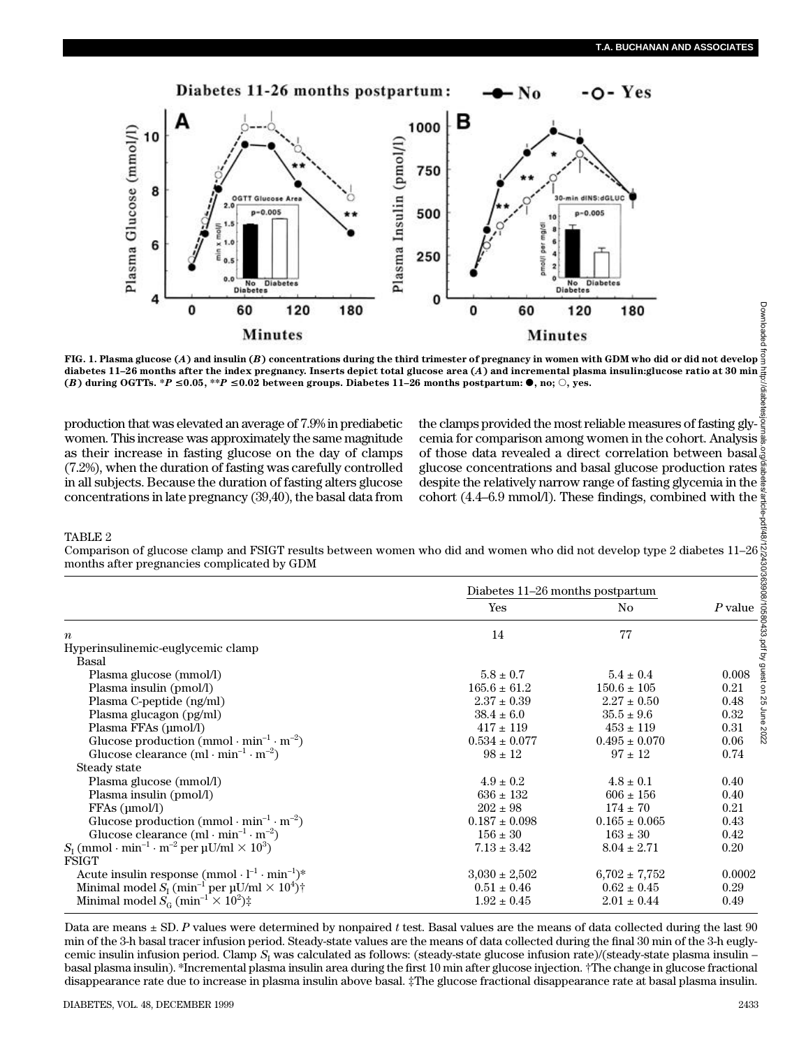

**FIG. 1. Plasma glucose (***A***) and insulin (***B***) concentrations during the third trimester of pregnancy in women with GDM who did or did not develop** diabetes 11–26 months after the index pregnancy. Inserts depict total glucose area (A) and incremental plasma insulin:glucose ratio at 30 min<br>(B) during OGTTs. \*P 0.05, \*\*P 0.02 between groups. Diabetes 11–26 months ://diabete

production that was elevated an average of 7.9% in prediabetic women. This increase was approximately the same magnitude as their increase in fasting glucose on the day of clamps (7.2%), when the duration of fasting was carefully controlled in all subjects. Because the duration of fasting alters glucose concentrations in late pregnancy (39,40), the basal data from

the clamps provided the most reliable measures of fasting glycemia for comparison among women in the cohort. Analysis of those data revealed a direct correlation between basal<sup>5</sup> glucose concentrations and basal glucose production rates despite the relatively narrow range of fasting glycemia in the cohort (4.4–6.9 mmol/l). These findings, combined with the Downloaded from http://diabetesjournals.org/diabetes/article-pdf/48/12/2430/363908/10580433.pdf by guest on 25 June 2022

### TABLE 2

Comparison of glucose clamp and FSIGT results between women who did and women who did not develop type 2 diabetes 11–26 months after pregnancies complicated by GDM

|                                                                                                      | Diabetes 11–26 months postpartum |                   |         |
|------------------------------------------------------------------------------------------------------|----------------------------------|-------------------|---------|
|                                                                                                      | Yes                              | No.               | P value |
| $\boldsymbol{n}$                                                                                     | 14                               | 77                |         |
| Hyperinsulinemic-euglycemic clamp                                                                    |                                  |                   |         |
| Basal                                                                                                |                                  |                   |         |
| Plasma glucose (mmol/l)                                                                              | $5.8 \pm 0.7$                    | $5.4 \pm 0.4$     | 0.008   |
| Plasma insulin (pmol/l)                                                                              | $165.6 \pm 61.2$                 | $150.6 \pm 105$   | 0.21    |
| Plasma C-peptide (ng/ml)                                                                             | $2.37 \pm 0.39$                  | $2.27 \pm 0.50$   | 0.48    |
| Plasma glucagon (pg/ml)                                                                              | $38.4 \pm 6.0$                   | $35.5 \pm 9.6$    | 0.32    |
| Plasma FFAs (µmol/l)                                                                                 | $417 \pm 119$                    | $453 \pm 119$     | 0.31    |
| Glucose production (mmol $\cdot$ min <sup>-1</sup> $\cdot$ m <sup>-2</sup> )                         | $0.534 \pm 0.077$                | $0.495 \pm 0.070$ | 0.06    |
| Glucose clearance $(ml \cdot min^{-1} \cdot m^{-2})$                                                 | $.98 \pm 12$                     | $.97 \pm 12$      | 0.74    |
| Steady state                                                                                         |                                  |                   |         |
| Plasma glucose (mmol/l)                                                                              | $4.9 \pm 0.2$                    | $4.8 \pm 0.1$     | 0.40    |
| Plasma insulin (pmol/l)                                                                              | $636 \pm 132$                    | $606 \pm 156$     | 0.40    |
| FFAs (umol/l)                                                                                        | $202 \pm 98$                     | $174 \pm 70$      | 0.21    |
| Glucose production (mmol $\cdot$ min <sup>-1</sup> $\cdot$ m <sup>-2</sup> )                         | $0.187 \pm 0.098$                | $0.165 \pm 0.065$ | 0.43    |
| Glucose clearance $(ml \cdot min^{-1} \cdot m^{-2})$                                                 | $156 \pm 30$                     | $163 \pm 30$      | 0.42    |
| $S_{I}$ (mmol $\cdot$ min <sup>-1</sup> $\cdot$ m <sup>-2</sup> per µU/ml $\times$ 10 <sup>3</sup> ) | $7.13 \pm 3.42$                  | $8.04 \pm 2.71$   | 0.20    |
| <b>FSIGT</b>                                                                                         |                                  |                   |         |
| Acute insulin response $(mmol \cdot l^{-1} \cdot min^{-1})^*$                                        | $3,030 \pm 2,502$                | $6,702 \pm 7,752$ | 0.0002  |
| Minimal model $S_{I}$ (min <sup>-1</sup> per $\mu U/ml \times 10^{4}$ ) <sup>+</sup>                 | $0.51 \pm 0.46$                  | $0.62 \pm 0.45$   | 0.29    |
| Minimal model $S_G$ (min <sup>-1</sup> $\times$ 10 <sup>2</sup> ) $\ddagger$                         | $1.92 \pm 0.45$                  | $2.01 \pm 0.44$   | 0.49    |

Data are means ± SD. *P* values were determined by nonpaired *t* test. Basal values are the means of data collected during the last 90 min of the 3-h basal tracer infusion period. Steady-state values are the means of data collected during the final 30 min of the 3-h euglycemic insulin infusion period. Clamp *S*<sub>I</sub> was calculated as follows: (steady-state glucose infusion rate)/(steady-state plasma insulin – basal plasma insulin). \*Incremental plasma insulin area during the first 10 min after glucose injection. †The change in glucose fractional disappearance rate due to increase in plasma insulin above basal. ‡The glucose fractional disappearance rate at basal plasma insulin.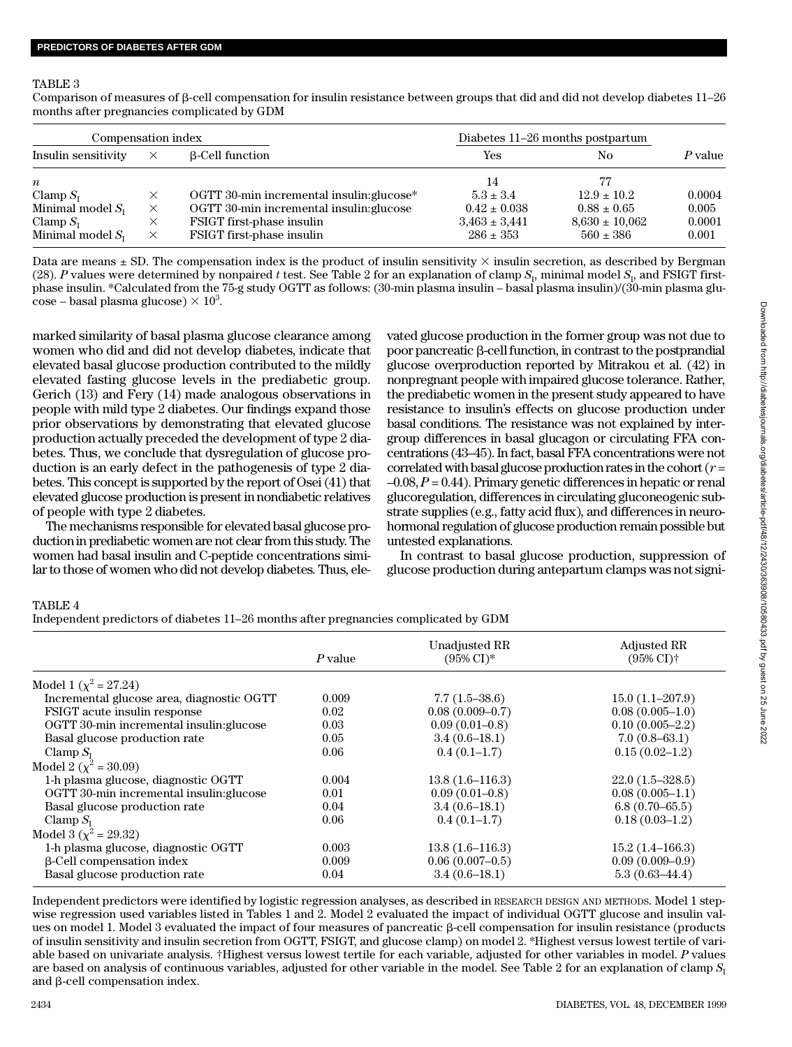#### TABLE 3

Comparison of measures of  $\beta$ -cell compensation for insulin resistance between groups that did and did not develop diabetes 11–26 months after pregnancies complicated by GDM

| Compensation index    |   |                                           |                   | Diabetes 11–26 months postpartum |           |
|-----------------------|---|-------------------------------------------|-------------------|----------------------------------|-----------|
| Insulin sensitivity   | × | <b>B-Cell function</b>                    | Yes               | Nο                               | $P$ value |
| $\boldsymbol{n}$      |   |                                           | 14                | 77                               |           |
| Clamp $S_{I}$         | X | OGTT 30-min incremental insulin: glucose* | $5.3 \pm 3.4$     | $12.9 \pm 10.2$                  | 0.0004    |
| Minimal model $S_{I}$ | X | OGTT 30-min incremental insulin: glucose  | $0.42 \pm 0.038$  | $0.88 \pm 0.65$                  | 0.005     |
| Clamp $S_{I}$         | × | FSIGT first-phase insulin                 | $3,463 \pm 3,441$ | $8,630 \pm 10,062$               | 0.0001    |
| Minimal model $S_{I}$ | X | FSIGT first-phase insulin                 | $286 \pm 353$     | $560 \pm 386$                    | 0.001     |

Data are means  $\pm$  SD. The compensation index is the product of insulin sensitivity  $\times$  insulin secretion, as described by Bergman (28). *P* values were determined by nonpaired *t* test. See Table 2 for an explanation of clamp  $S<sub>1</sub>$ , minimal model  $S<sub>1</sub>$ , and FSIGT firstphase insulin. \*Calculated from the 75-g study OGTT as follows: (30-min plasma insulin – basal plasma insulin)/(30-min plasma glu- $\cos$ e – basal plasma glucose)  $\times$  10<sup>3</sup>.

marked similarity of basal plasma glucose clearance among women who did and did not develop diabetes, indicate that elevated basal glucose production contributed to the mildly elevated fasting glucose levels in the prediabetic group. Gerich (13) and Fery (14) made analogous observations in people with mild type 2 diabetes. Our findings expand those prior observations by demonstrating that elevated glucose production actually preceded the development of type 2 diabetes. Thus, we conclude that dysregulation of glucose production is an early defect in the pathogenesis of type 2 diabetes. This concept is supported by the report of Osei (41) that elevated glucose production is present in nondiabetic relatives of people with type 2 diabetes.

The mechanisms responsible for elevated basal glucose production in prediabetic women are not clear from this study. The women had basal insulin and C-peptide concentrations similar to those of women who did not develop diabetes. Thus, elevated glucose production in the former group was not due to poor pancreatic  $\beta$ -cell function, in contrast to the postprandial glucose overproduction reported by Mitrakou et al. (42) in nonpregnant people with impaired glucose tolerance. Rather, the prediabetic women in the present study appeared to have resistance to insulin's effects on glucose production under basal conditions. The resistance was not explained by intergroup differences in basal glucagon or circulating FFA concentrations (43–45). In fact, basal FFA concentrations were not correlated with basal glucose production rates in the cohort (*r* =  $-0.08$ ,  $P = 0.44$ ). Primary genetic differences in hepatic or renal glucoregulation, differences in circulating gluconeogenic substrate supplies (e.g., fatty acid flux), and differences in neurohormonal regulation of glucose production remain possible but untested explanations.

In contrast to basal glucose production, suppression of glucose production during antepartum clamps was not signi-

## TABLE 4

Independent predictors of diabetes 11–26 months after pregnancies complicated by GDM

|                                           | P value | Unadjusted RR<br>$(95\% \text{ CI})^*$ | <b>Adjusted RR</b><br>$(95\% \text{ CI})\dagger$ |
|-------------------------------------------|---------|----------------------------------------|--------------------------------------------------|
|                                           |         |                                        |                                                  |
| Model 1 ( $\chi^2$ = 27.24)               |         |                                        |                                                  |
| Incremental glucose area, diagnostic OGTT | 0.009   | $7.7(1.5-38.6)$                        | $15.0(1.1-207.9)$                                |
| FSIGT acute insulin response              | 0.02    | $0.08(0.009 - 0.7)$                    | $0.08(0.005-1.0)$                                |
| OGTT 30-min incremental insulin: glucose  | 0.03    | $0.09(0.01-0.8)$                       | $0.10(0.005 - 2.2)$                              |
| Basal glucose production rate             | 0.05    | $3.4(0.6-18.1)$                        | $7.0(0.8-63.1)$                                  |
| Clamp $S_{I}$                             | 0.06    | $0.4(0.1-1.7)$                         | $0.15(0.02-1.2)$                                 |
| Model 2 ( $\chi^2$ = 30.09)               |         |                                        |                                                  |
| 1-h plasma glucose, diagnostic OGTT       | 0.004   | $13.8(1.6-116.3)$                      | $22.0(1.5-328.5)$                                |
| OGTT 30-min incremental insulin: glucose  | 0.01    | $0.09(0.01-0.8)$                       | $0.08(0.005-1.1)$                                |
| Basal glucose production rate             | 0.04    | $3.4(0.6-18.1)$                        | $6.8(0.70 - 65.5)$                               |
| Clamp $S_{I}$                             | 0.06    | $0.4(0.1-1.7)$                         | $0.18(0.03-1.2)$                                 |
| Model 3 ( $\chi^2$ = 29.32)               |         |                                        |                                                  |
| 1-h plasma glucose, diagnostic OGTT       | 0.003   | $13.8(1.6-116.3)$                      | $15.2(1.4 - 166.3)$                              |
| <b>B-Cell compensation index</b>          | 0.009   | $0.06(0.007-0.5)$                      | $0.09(0.009 - 0.9)$                              |
| Basal glucose production rate             | 0.04    | $3.4(0.6-18.1)$                        | $5.3(0.63-44.4)$                                 |

Independent predictors were identified by logistic regression analyses, as described in RESEARCH DESIGN AND METHODS. Model 1 stepwise regression used variables listed in Tables 1 and 2. Model 2 evaluated the impact of individual OGTT glucose and insulin values on model 1. Model 3 evaluated the impact of four measures of pancreatic  $\beta$ -cell compensation for insulin resistance (products of insulin sensitivity and insulin secretion from OGTT, FSIGT, and glucose clamp) on model 2. \*Highest versus lowest tertile of variable based on univariate analysis. †Highest versus lowest tertile for each variable, adjusted for other variables in model. P values are based on analysis of continuous variables, adjusted for other variable in the model. See Table 2 for an explanation of clamp  $S_1$ and  $\beta$ -cell compensation index.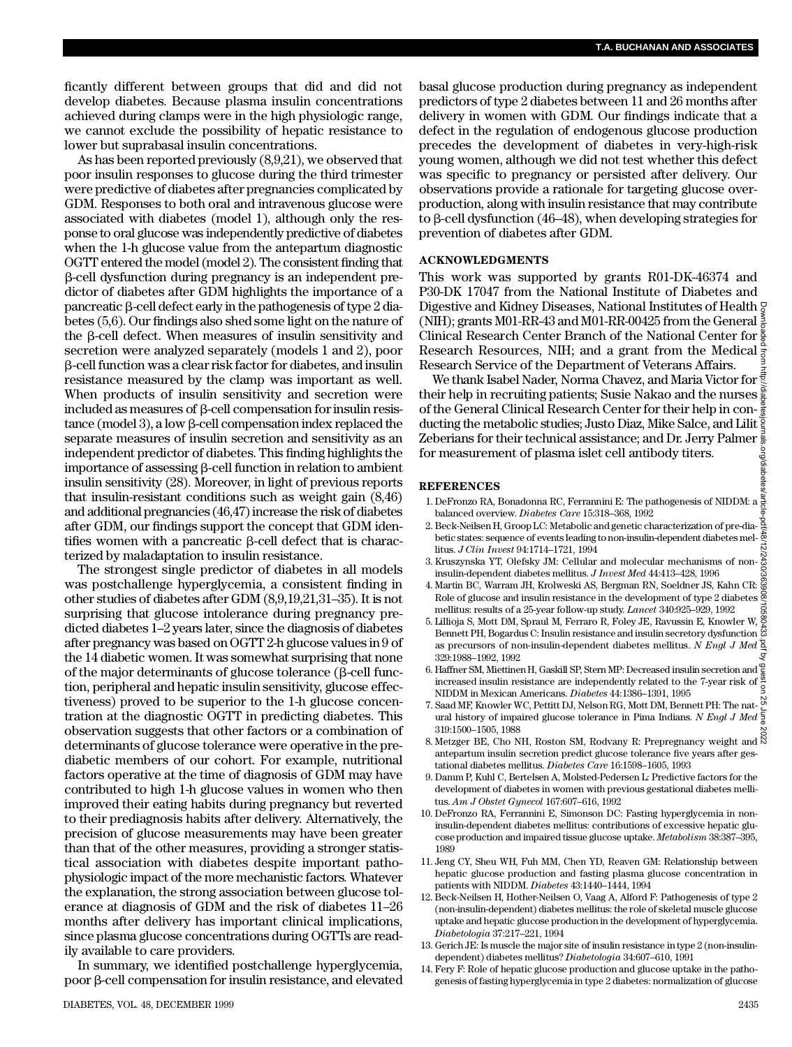ficantly different between groups that did and did not develop diabetes. Because plasma insulin concentrations achieved during clamps were in the high physiologic range, we cannot exclude the possibility of hepatic resistance to lower but suprabasal insulin concentrations.

As has been reported previously (8,9,21), we observed that poor insulin responses to glucose during the third trimester were predictive of diabetes after pregnancies complicated by GDM. Responses to both oral and intravenous glucose were associated with diabetes (model 1), although only the response to oral glucose was independently predictive of diabetes when the 1-h glucose value from the antepartum diagnostic OGTT entered the model (model 2). The consistent finding that b-cell dysfunction during pregnancy is an independent predictor of diabetes after GDM highlights the importance of a pancreatic  $\beta$ -cell defect early in the pathogenesis of type 2 diabetes (5,6). Our findings also shed some light on the nature of the  $\beta$ -cell defect. When measures of insulin sensitivity and secretion were analyzed separately (models 1 and 2), poor b-cell function was a clear risk factor for diabetes, and insulin resistance measured by the clamp was important as well. When products of insulin sensitivity and secretion were included as measures of  $\beta$ -cell compensation for insulin resistance (model 3), a low  $\beta$ -cell compensation index replaced the separate measures of insulin secretion and sensitivity as an independent predictor of diabetes. This finding highlights the importance of assessing  $\beta$ -cell function in relation to ambient insulin sensitivity (28). Moreover, in light of previous reports that insulin-resistant conditions such as weight gain (8,46) and additional pregnancies (46,47) increase the risk of diabetes after GDM, our findings support the concept that GDM identifies women with a pancreatic  $\beta$ -cell defect that is characterized by maladaptation to insulin resistance.

The strongest single predictor of diabetes in all models was postchallenge hyperglycemia, a consistent finding in other studies of diabetes after GDM (8,9,19,21,31–35). It is not surprising that glucose intolerance during pregnancy predicted diabetes 1–2 years later, since the diagnosis of diabetes after pregnancy was based on OGTT 2-h glucose values in 9 of the 14 diabetic women. It was somewhat surprising that none of the major determinants of glucose tolerance ( $\beta$ -cell function, peripheral and hepatic insulin sensitivity, glucose effectiveness) proved to be superior to the 1-h glucose concentration at the diagnostic OGTT in predicting diabetes. This observation suggests that other factors or a combination of determinants of glucose tolerance were operative in the prediabetic members of our cohort. For example, nutritional factors operative at the time of diagnosis of GDM may have contributed to high 1-h glucose values in women who then improved their eating habits during pregnancy but reverted to their prediagnosis habits after delivery. Alternatively, the precision of glucose measurements may have been greater than that of the other measures, providing a stronger statistical association with diabetes despite important pathophysiologic impact of the more mechanistic factors. Whatever the explanation, the strong association between glucose tolerance at diagnosis of GDM and the risk of diabetes 11–26 months after delivery has important clinical implications, since plasma glucose concentrations during OGTTs are readily available to care providers.

In summary, we identified postchallenge hyperglycemia, poor  $\beta$ -cell compensation for insulin resistance, and elevated basal glucose production during pregnancy as independent predictors of type 2 diabetes between 11 and 26 months after delivery in women with GDM. Our findings indicate that a defect in the regulation of endogenous glucose production precedes the development of diabetes in very-high-risk young women, although we did not test whether this defect was specific to pregnancy or persisted after delivery. Our observations provide a rationale for targeting glucose overproduction, along with insulin resistance that may contribute to  $\beta$ -cell dysfunction (46–48), when developing strategies for prevention of diabetes after GDM.

#### **ACKNOWLEDGMENTS**

This work was supported by grants R01-DK-46374 and P<sub>30</sub>-DK 17047 from the National Institute of Diabetes and Digestive and Kidney Diseases, National Institutes of Health (NIH); grants M01-RR-43 and M01-RR-00425 from the General  $\frac{5}{8}$ Clinical Research Center Branch of the National Center for  $\frac{8}{9}$ Research Resources, NIH; and a grant from the Medical  $\frac{3}{5}$ Research Service of the Department of Veterans Affairs.

We thank Isabel Nader, Norma Chavez, and Maria Victor for  $\bar{\bar{\mathbb{S}}}$ their help in recruiting patients: Susie Nakao and the nurses  $\frac{8}{9}$ of the General Clinical Research Center for their help in conducting the metabolic studies; Justo Diaz, Mike Salce, and Lilit Zeberians for their technical assistance; and Dr. Jerry Palmer  $\frac{3}{8}$ for measurement of plasma islet cell antibody titers. Downloaded from http://diabetesjournals.org/diabetes/article-pdf/48/12/2430/363908/10580433.pdf by guest on 25 June 2022

#### **R E F E R E N C E S**

- 1 . DeFronzo RA, Bonadonna RC, Ferrannini E: The pathogenesis of NIDDM: a balanced overview. *Diabetes Care* 15:318–368, 1992
- 2 . Beck-Neilsen H, Groop LC: Metabolic and genetic characterization of pre-diabetic states: sequence of events leading to non-insulin-dependent diabetes mellitus. *J Clin Invest* 94:1714–1721, 1994
- 3. Kruszynska YT, Olefsky JM: Cellular and molecular mechanisms of non- $\frac{2}{\infty}$ insulin-dependent diabetes mellitus. *J Invest Med* 44:413–428, 1996
- 4 . Martin BC, Warram JH, Krolweski AS, Bergman RN, Soeldner JS, Kahn CR: Role of glucose and insulin resistance in the development of type 2 diabetes mellitus: results of a 25-year follow-up study. *Lancet* 340:925–929, 1992
- 5 . Lillioja S, Mott DM, Spraul M, Ferraro R, Foley JE, Ravussin E, Knowler W, Bennett PH, Bogardus C: Insulin resistance and insulin secretory dysfunction as precursors of non-insulin-dependent diabetes mellitus. *N Engl J Med* 329:1988–1992, 1992
- 6 . Haffner SM, Miettinen H, Gaskill SP, Stern MP: Decreased insulin secretion and increased insulin resistance are independently related to the 7-year risk of NIDDM in Mexican Americans. *Diabetes* 44:1386-1391, 1995
- 7 . Saad MF, Knowler WC, Pettitt DJ, Nelson RG, Mott DM, Bennett PH: The natural history of impaired glucose tolerance in Pima Indians. *N Engl J Med* 319:1500–1505, 1988
- 8. Metzger BE, Cho NH, Roston SM, Rodvany R: Prepregnancy weight and  $\stackrel{\infty}{\bowtie}$ antepartum insulin secretion predict glucose tolerance five years after gestational diabetes mellitus. *Diabetes Care* 16:1598–1605, 1993
- 9 . Damm P, Kuhl C, Bertelsen A, Molsted-Pedersen L: Predictive factors for the development of diabetes in women with previous gestational diabetes mellitus. *Am J Obstet Gynecol* 167:607–616, 1992
- 1 0 . DeFronzo RA, Ferrannini E, Simonson DC: Fasting hyperglycemia in noninsulin-dependent diabetes mellitus: contributions of excessive hepatic glucose production and impaired tissue glucose uptake. *Metabolism* 38:387-395, 1989
- 1 1 . Jeng CY, Sheu WH, Fuh MM, Chen YD, Reaven GM: Relationship between hepatic glucose production and fasting plasma glucose concentration in patients with NIDDM. *Diabetes* 43:1440-1444, 1994
- 12. Beck-Neilsen H, Hother-Neilsen O, Vaag A, Alford F: Pathogenesis of type 2 (non-insulin-dependent) diabetes mellitus: the role of skeletal muscle glucose uptake and hepatic glucose production in the development of hyperglycemia. *D i a b e t o l o g i a* 37:217–221, 1994
- 13. Gerich JE: Is muscle the major site of insulin resistance in type 2 (non-insulindependent) diabetes mellitus? *Diabetologia* 34:607–610, 1991
- 1 4 . Fery F: Role of hepatic glucose production and glucose uptake in the pathogenesis of fasting hyperglycemia in type 2 diabetes: normalization of glucose